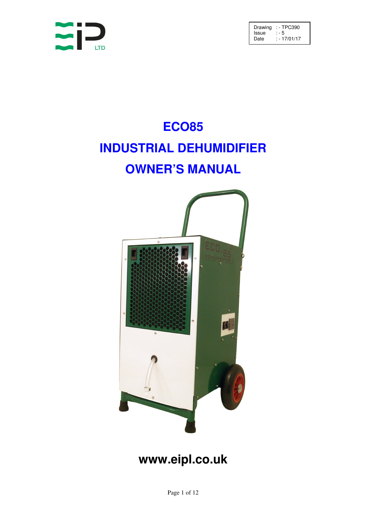

# **ECO85 INDUSTRIAL DEHUMIDIFIER OWNER'S MANUAL**



## **www.eipl.co.uk**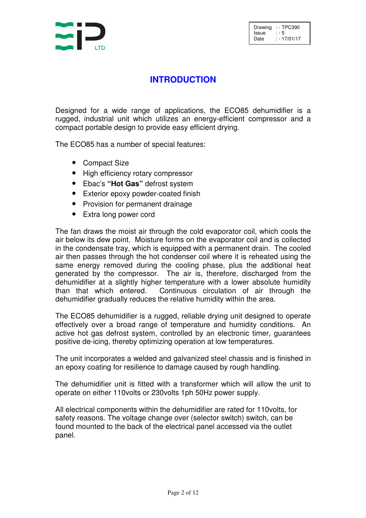## **INTRODUCTION**

Designed for a wide range of applications, the ECO85 dehumidifier is a rugged, industrial unit which utilizes an energy-efficient compressor and a compact portable design to provide easy efficient drying.

The ECO85 has a number of special features:

- Compact Size
- High efficiency rotary compressor
- Ebac's **"Hot Gas"** defrost system
- Exterior epoxy powder-coated finish
- Provision for permanent drainage
- Extra long power cord

The fan draws the moist air through the cold evaporator coil, which cools the air below its dew point. Moisture forms on the evaporator coil and is collected in the condensate tray, which is equipped with a permanent drain. The cooled air then passes through the hot condenser coil where it is reheated using the same energy removed during the cooling phase, plus the additional heat generated by the compressor. The air is, therefore, discharged from the dehumidifier at a slightly higher temperature with a lower absolute humidity than that which entered. Continuous circulation of air through the dehumidifier gradually reduces the relative humidity within the area.

The ECO85 dehumidifier is a rugged, reliable drying unit designed to operate effectively over a broad range of temperature and humidity conditions. An active hot gas defrost system, controlled by an electronic timer, guarantees positive de-icing, thereby optimizing operation at low temperatures.

The unit incorporates a welded and galvanized steel chassis and is finished in an epoxy coating for resilience to damage caused by rough handling.

The dehumidifier unit is fitted with a transformer which will allow the unit to operate on either 110volts or 230volts 1ph 50Hz power supply.

All electrical components within the dehumidifier are rated for 110volts, for safety reasons. The voltage change over (selector switch) switch, can be found mounted to the back of the electrical panel accessed via the outlet panel.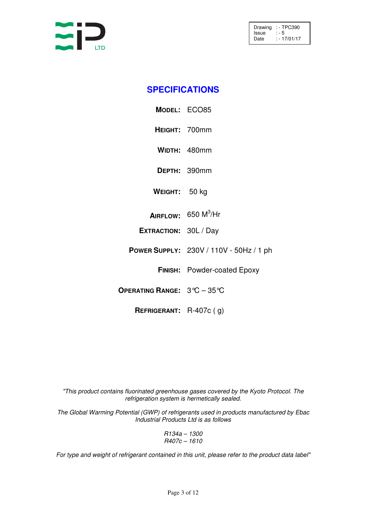

## **SPECIFICATIONS**

| MODEL: ECO85                                |                                         |
|---------------------------------------------|-----------------------------------------|
| HEIGHT: 700mm                               |                                         |
|                                             | <b>WIDTH: 480mm</b>                     |
|                                             | DEPTH: 390mm                            |
| <b>WEIGHT:</b> $50$ kg                      |                                         |
|                                             | AIRFLOW: 650 M <sup>3</sup> /Hr         |
| <b>EXTRACTION: 30L/Day</b>                  |                                         |
|                                             | POWER SUPPLY: 230V / 110V - 50Hz / 1 ph |
|                                             | FINISH: Powder-coated Epoxy             |
| OPERATING RANGE: $3^{\circ}C - 35^{\circ}C$ |                                         |
| <b>REFRIGERANT:</b> R-407c (g)              |                                         |

"This product contains fluorinated greenhouse gases covered by the Kyoto Protocol. The refrigeration system is hermetically sealed.

The Global Warming Potential (GWP) of refrigerants used in products manufactured by Ebac Industrial Products Ltd is as follows

> R134a – 1300 R407c – 1610

For type and weight of refrigerant contained in this unit, please refer to the product data label"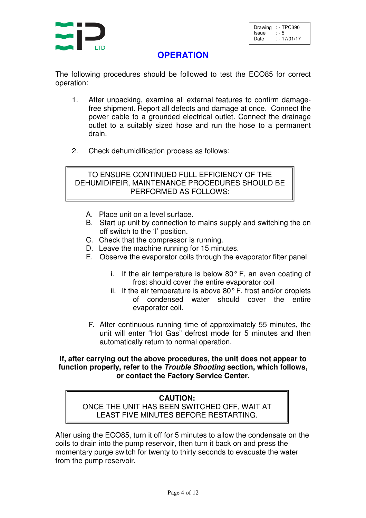## **OPERATION**

The following procedures should be followed to test the ECO85 for correct operation:

- 1. After unpacking, examine all external features to confirm damagefree shipment. Report all defects and damage at once. Connect the power cable to a grounded electrical outlet. Connect the drainage outlet to a suitably sized hose and run the hose to a permanent drain.
- 2. Check dehumidification process as follows:

#### TO ENSURE CONTINUED FULL EFFICIENCY OF THE DEHUMIDIFEIR, MAINTENANCE PROCEDURES SHOULD BE PERFORMED AS FOLLOWS:

- A. Place unit on a level surface.
- B. Start up unit by connection to mains supply and switching the on off switch to the 'I' position.
- C. Check that the compressor is running.
- D. Leave the machine running for 15 minutes.
- E. Observe the evaporator coils through the evaporator filter panel
	- i. If the air temperature is below  $80^\circ$  F, an even coating of frost should cover the entire evaporator coil
	- ii. If the air temperature is above  $80^\circ$  F, frost and/or droplets of condensed water should cover the entire evaporator coil.
- F. After continuous running time of approximately 55 minutes, the unit will enter "Hot Gas" defrost mode for 5 minutes and then automatically return to normal operation.

#### **If, after carrying out the above procedures, the unit does not appear to function properly, refer to the Trouble Shooting section, which follows, or contact the Factory Service Center.**

#### **CAUTION:**

ONCE THE UNIT HAS BEEN SWITCHED OFF, WAIT AT LEAST FIVE MINUTES BEFORE RESTARTING.

After using the ECO85, turn it off for 5 minutes to allow the condensate on the coils to drain into the pump reservoir, then turn it back on and press the momentary purge switch for twenty to thirty seconds to evacuate the water from the pump reservoir.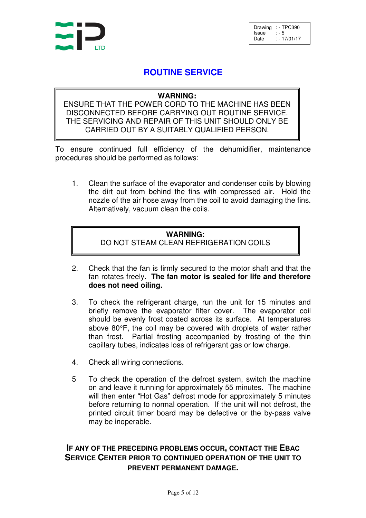

Drawing  $:$  - TPC390<br>Issue  $:$  -5 Issue<br>Date  $: -17/01/17$ 

## **ROUTINE SERVICE**

#### **WARNING:**

ENSURE THAT THE POWER CORD TO THE MACHINE HAS BEEN DISCONNECTED BEFORE CARRYING OUT ROUTINE SERVICE. THE SERVICING AND REPAIR OF THIS UNIT SHOULD ONLY BE CARRIED OUT BY A SUITABLY QUALIFIED PERSON.

To ensure continued full efficiency of the dehumidifier, maintenance procedures should be performed as follows:

 1. Clean the surface of the evaporator and condenser coils by blowing the dirt out from behind the fins with compressed air. Hold the nozzle of the air hose away from the coil to avoid damaging the fins. Alternatively, vacuum clean the coils.

#### **WARNING:**

DO NOT STEAM CLEAN REFRIGERATION COILS

- 2. Check that the fan is firmly secured to the motor shaft and that the fan rotates freely. **The fan motor is sealed for life and therefore does not need oiling.**
- 3. To check the refrigerant charge, run the unit for 15 minutes and briefly remove the evaporator filter cover. The evaporator coil should be evenly frost coated across its surface. At temperatures above 80°F, the coil may be covered with droplets of water rather than frost. Partial frosting accompanied by frosting of the thin capillary tubes, indicates loss of refrigerant gas or low charge.
- 4. Check all wiring connections.
- 5 To check the operation of the defrost system, switch the machine on and leave it running for approximately 55 minutes. The machine will then enter "Hot Gas" defrost mode for approximately 5 minutes before returning to normal operation. If the unit will not defrost, the printed circuit timer board may be defective or the by-pass valve may be inoperable.

#### **IF ANY OF THE PRECEDING PROBLEMS OCCUR, CONTACT THE EBAC SERVICE CENTER PRIOR TO CONTINUED OPERATION OF THE UNIT TO PREVENT PERMANENT DAMAGE.**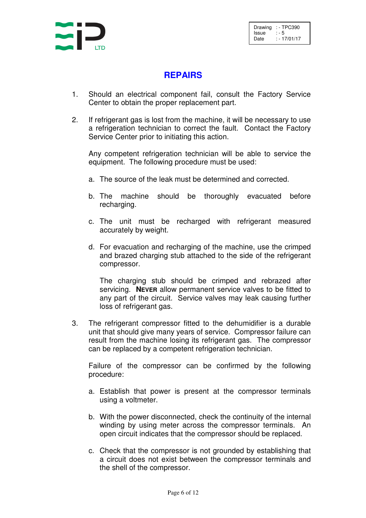

## **REPAIRS**

- 1. Should an electrical component fail, consult the Factory Service Center to obtain the proper replacement part.
- 2. If refrigerant gas is lost from the machine, it will be necessary to use a refrigeration technician to correct the fault. Contact the Factory Service Center prior to initiating this action.

 Any competent refrigeration technician will be able to service the equipment. The following procedure must be used:

- a. The source of the leak must be determined and corrected.
- b. The machine should be thoroughly evacuated before recharging.
- c. The unit must be recharged with refrigerant measured accurately by weight.
- d. For evacuation and recharging of the machine, use the crimped and brazed charging stub attached to the side of the refrigerant compressor.

 The charging stub should be crimped and rebrazed after servicing. **NEVER** allow permanent service valves to be fitted to any part of the circuit. Service valves may leak causing further loss of refrigerant gas.

 3. The refrigerant compressor fitted to the dehumidifier is a durable unit that should give many years of service. Compressor failure can result from the machine losing its refrigerant gas. The compressor can be replaced by a competent refrigeration technician.

 Failure of the compressor can be confirmed by the following procedure:

- a. Establish that power is present at the compressor terminals using a voltmeter.
- b. With the power disconnected, check the continuity of the internal winding by using meter across the compressor terminals. An open circuit indicates that the compressor should be replaced.
- c. Check that the compressor is not grounded by establishing that a circuit does not exist between the compressor terminals and the shell of the compressor.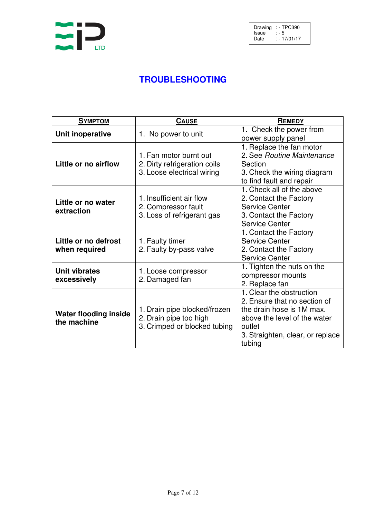

## **TROUBLESHOOTING**

| <b>SYMPTOM</b>                              | <b>CAUSE</b>                                                                           | <b>REMEDY</b>                                                                                                                                                                 |  |
|---------------------------------------------|----------------------------------------------------------------------------------------|-------------------------------------------------------------------------------------------------------------------------------------------------------------------------------|--|
| Unit inoperative                            | 1. No power to unit                                                                    | 1. Check the power from<br>power supply panel                                                                                                                                 |  |
| Little or no airflow                        | 1. Fan motor burnt out<br>2. Dirty refrigeration coils<br>3. Loose electrical wiring   | 1. Replace the fan motor<br>2. See Routine Maintenance<br>Section<br>3. Check the wiring diagram<br>to find fault and repair                                                  |  |
| Little or no water<br>extraction            | 1. Insufficient air flow<br>2. Compressor fault<br>3. Loss of refrigerant gas          | 1. Check all of the above<br>2. Contact the Factory<br><b>Service Center</b><br>3. Contact the Factory<br><b>Service Center</b>                                               |  |
| Little or no defrost<br>when required       | 1. Faulty timer<br>2. Faulty by-pass valve                                             | 1. Contact the Factory<br><b>Service Center</b><br>2. Contact the Factory<br><b>Service Center</b>                                                                            |  |
| <b>Unit vibrates</b><br>excessively         | 1. Loose compressor<br>2. Damaged fan                                                  | 1. Tighten the nuts on the<br>compressor mounts<br>2. Replace fan                                                                                                             |  |
| <b>Water flooding inside</b><br>the machine | 1. Drain pipe blocked/frozen<br>2. Drain pipe too high<br>3. Crimped or blocked tubing | 1. Clear the obstruction<br>2. Ensure that no section of<br>the drain hose is 1M max.<br>above the level of the water<br>outlet<br>3. Straighten, clear, or replace<br>tubing |  |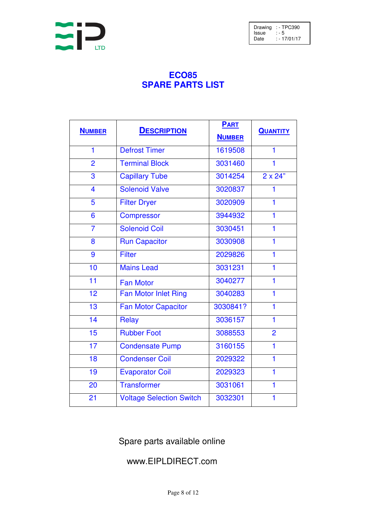

## **ECO85 SPARE PARTS LIST**

| <b>NUMBER</b>           | <b>DESCRIPTION</b>              |               | <b>QUANTITY</b>         |
|-------------------------|---------------------------------|---------------|-------------------------|
|                         |                                 | <b>NUMBER</b> |                         |
| $\mathbf 1$             | <b>Defrost Timer</b>            | 1619508       | 1                       |
| $\overline{2}$          | <b>Terminal Block</b>           | 3031460       |                         |
| 3                       | <b>Capillary Tube</b>           | 3014254       | $2 \times 24"$          |
| $\overline{\mathbf{4}}$ | <b>Solenoid Valve</b>           | 3020837       | 1                       |
| 5                       | <b>Filter Dryer</b>             | 3020909       | 1                       |
| 6                       | <b>Compressor</b>               | 3944932       | 1                       |
| $\overline{7}$          | <b>Solenoid Coil</b>            | 3030451       | 1                       |
| 8                       | <b>Run Capacitor</b>            | 3030908       | 1                       |
| 9                       | Filter                          | 2029826       | 1                       |
| 10                      | <b>Mains Lead</b>               | 3031231       | 1                       |
| 11                      | <b>Fan Motor</b>                | 3040277       | 1                       |
| 12                      | Fan Motor Inlet Ring            | 3040283       | 1                       |
| $\overline{13}$         | <b>Fan Motor Capacitor</b>      | 3030841?      | 1                       |
| $\overline{14}$         | <b>Relay</b>                    | 3036157       | $\overline{\mathbf{1}}$ |
| 15                      | <b>Rubber Foot</b>              | 3088553       | $\overline{2}$          |
| 17                      | <b>Condensate Pump</b>          | 3160155       | 1                       |
| 18                      | <b>Condenser Coil</b>           | 2029322       | 1                       |
| 19                      | <b>Evaporator Coil</b>          | 2029323       | 1                       |
| 20                      | <b>Transformer</b>              | 3031061       | 1                       |
| 21                      | <b>Voltage Selection Switch</b> | 3032301       | 1                       |

## Spare parts available online

## www.EIPLDIRECT.com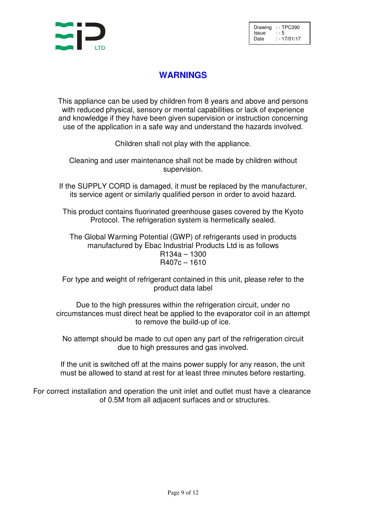

## **WARNINGS**

This appliance can be used by children from 8 years and above and persons with reduced physical, sensory or mental capabilities or lack of experience and knowledge if they have been given supervision or instruction concerning use of the application in a safe way and understand the hazards involved.

Children shall not play with the appliance.

Cleaning and user maintenance shall not be made by children without supervision.

If the SUPPLY CORD is damaged, it must be replaced by the manufacturer, its service agent or similarly qualified person in order to avoid hazard.

This product contains fluorinated greenhouse gases covered by the Kyoto Protocol. The refrigeration system is hermetically sealed.

The Global Warming Potential (GWP) of refrigerants used in products manufactured by Ebac Industrial Products Ltd is as follows R134a – 1300 R407c – 1610

For type and weight of refrigerant contained in this unit, please refer to the product data label

Due to the high pressures within the refrigeration circuit, under no circumstances must direct heat be applied to the evaporator coil in an attempt to remove the build-up of ice.

No attempt should be made to cut open any part of the refrigeration circuit due to high pressures and gas involved.

If the unit is switched off at the mains power supply for any reason, the unit must be allowed to stand at rest for at least three minutes before restarting.

For correct installation and operation the unit inlet and outlet must have a clearance of 0.5M from all adjacent surfaces and or structures.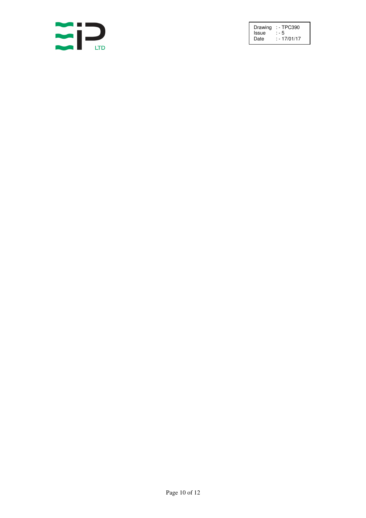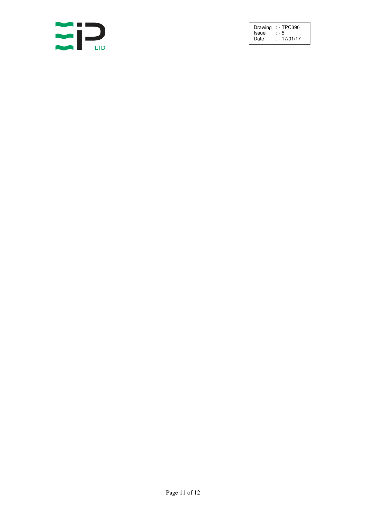